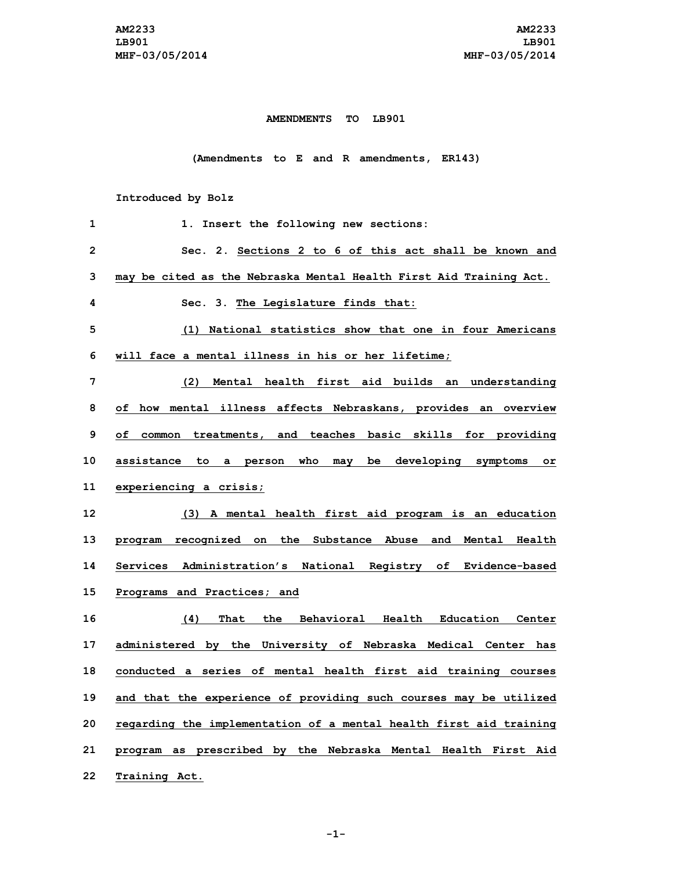## **AMENDMENTS TO LB901**

**(Amendments to E and R amendments, ER143)**

**Introduced by Bolz**

| 1  | 1. Insert the following new sections:                              |
|----|--------------------------------------------------------------------|
| 2  | Sec. 2. Sections 2 to 6 of this act shall be known and             |
| 3  | may be cited as the Nebraska Mental Health First Aid Training Act. |
| 4  | Sec. 3. The Legislature finds that:                                |
| 5  | National statistics show that one in four Americans<br>(1)         |
| 6  | will face a mental illness in his or her lifetime;                 |
| 7  | (2) Mental health first aid builds an understanding                |
| 8  | of how mental illness affects Nebraskans, provides an overview     |
| 9  | of common treatments, and teaches basic skills for providing       |
| 10 | assistance to a person who may be developing symptoms or           |
| 11 | experiencing a crisis;                                             |
| 12 | (3) A mental health first aid program is an education              |
| 13 | program recognized on the Substance Abuse and Mental Health        |
| 14 | Services Administration's National Registry of Evidence-based      |
| 15 | Programs and Practices; and                                        |
| 16 | (4) That the Behavioral Health Education Center                    |
| 17 | administered by the University of Nebraska Medical Center has      |
| 18 | conducted a series of mental health first aid training courses     |
| 19 | and that the experience of providing such courses may be utilized  |
| 20 | regarding the implementation of a mental health first aid training |
| 21 | program as prescribed by the Nebraska Mental Health First Aid      |
|    |                                                                    |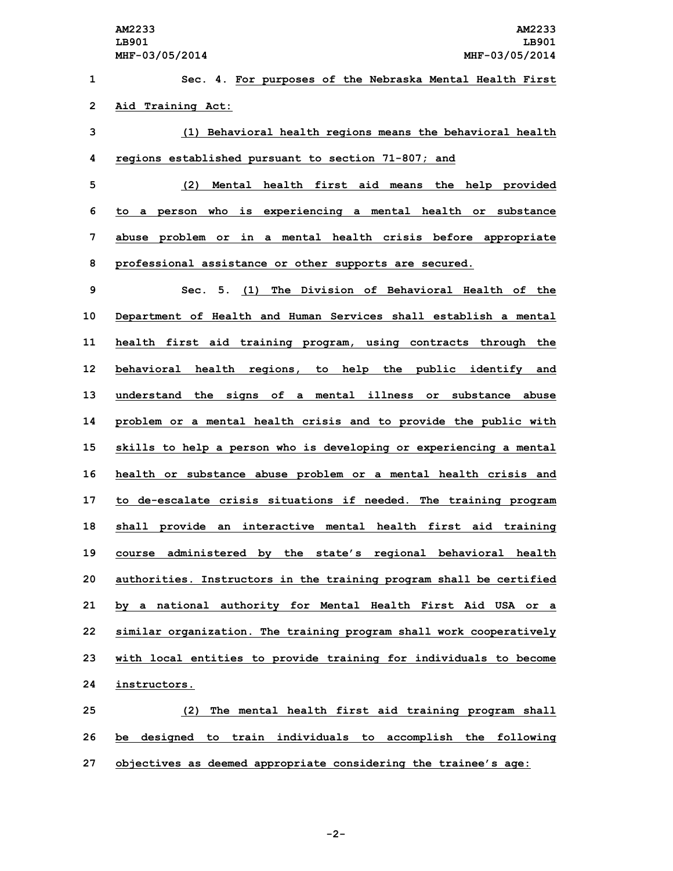**Sec. 4. For purposes of the Nebraska Mental Health First Aid Training Act: (1) Behavioral health regions means the behavioral health regions established pursuant to section 71-807; and (2) Mental health first aid means the help provided to <sup>a</sup> person who is experiencing <sup>a</sup> mental health or substance abuse problem or in <sup>a</sup> mental health crisis before appropriate professional assistance or other supports are secured. Sec. 5. (1) The Division of Behavioral Health of the Department of Health and Human Services shall establish <sup>a</sup> mental health first aid training program, using contracts through the behavioral health regions, to help the public identify and understand the signs of <sup>a</sup> mental illness or substance abuse problem or <sup>a</sup> mental health crisis and to provide the public with skills to help <sup>a</sup> person who is developing or experiencing <sup>a</sup> mental health or substance abuse problem or <sup>a</sup> mental health crisis and to de-escalate crisis situations if needed. The training program shall provide an interactive mental health first aid training course administered by the state's regional behavioral health authorities. Instructors in the training program shall be certified by <sup>a</sup> national authority for Mental Health First Aid USA or <sup>a</sup> similar organization. The training program shall work cooperatively with local entities to provide training for individuals to become instructors. (2) The mental health first aid training program shall be designed to train individuals to accomplish the following**

**27 objectives as deemed appropriate considering the trainee's age:**

**-2-**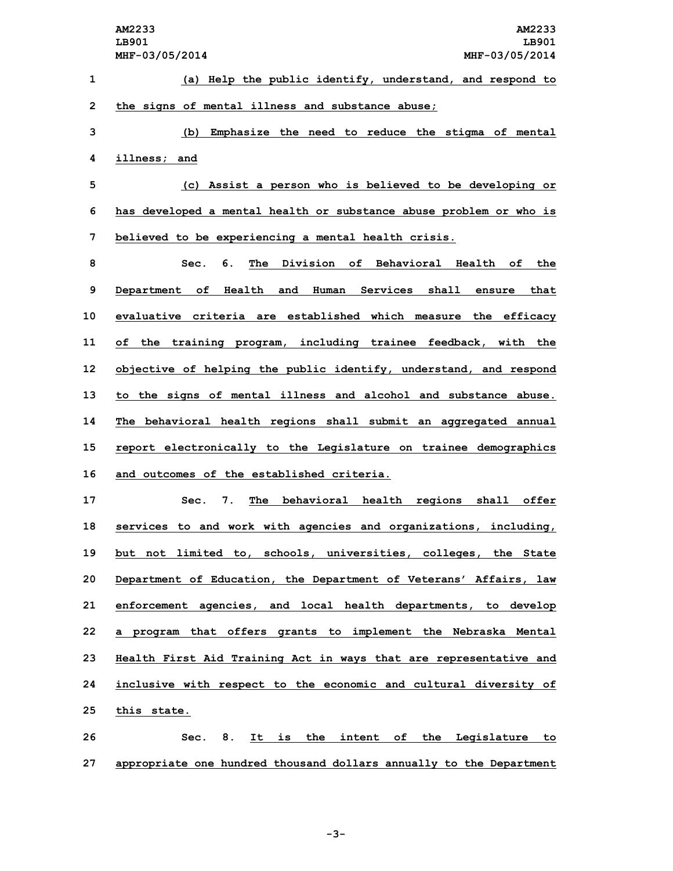|              | AM2233<br><b>AM2233</b><br>LB901<br>LB901<br>MHF-03/05/2014<br>MHF-03/05/2014  |
|--------------|--------------------------------------------------------------------------------|
| 1            | (a) Help the public identify, understand, and respond to                       |
| $\mathbf{2}$ | the signs of mental illness and substance abuse;                               |
| 3            | Emphasize the need to reduce the stigma of mental<br>(b)                       |
| 4            | illness; and                                                                   |
| 5            | (c) Assist a person who is believed to be developing or                        |
| 6            | has developed a mental health or substance abuse problem or who is             |
| 7            | believed to be experiencing a mental health crisis.                            |
| 8            | Division of Behavioral Health of<br>6.<br>The<br>Sec.<br>the                   |
| 9            | shall<br>Department of<br>Health<br>and<br>Human<br>Services<br>ensure<br>that |
| 10           | evaluative criteria are established which measure the efficacy                 |
| 11           | of the training program, including trainee feedback, with the                  |
| 12           | objective of helping the public identify, understand, and respond              |
| 13           | to the signs of mental illness and alcohol and substance abuse.                |
| 14           | The behavioral health regions shall submit an aggregated annual                |
| 15           | report electronically to the Legislature on trainee demographics               |
| 16           | and outcomes of the established criteria.                                      |
| 17           | behavioral health regions<br>7.<br>The<br>shall<br>offer<br>Sec.               |
| 18           | services to and work with agencies and organizations, including,               |
| 19           | but not limited to, schools, universities, colleges, the State                 |
| 20           | Department of Education, the Department of Veterans' Affairs, law              |
| 21           | enforcement agencies, and local health departments, to develop                 |
| 22           | a program that offers grants to implement the Nebraska Mental                  |
| 23           | Health First Aid Training Act in ways that are representative and              |
| 24           | inclusive with respect to the economic and cultural diversity of               |
| 25           | this state.                                                                    |
| 26           | 8. It is the intent of the Legislature to<br>Sec.                              |
| 27           | appropriate one hundred thousand dollars annually to the Department            |

**-3-**